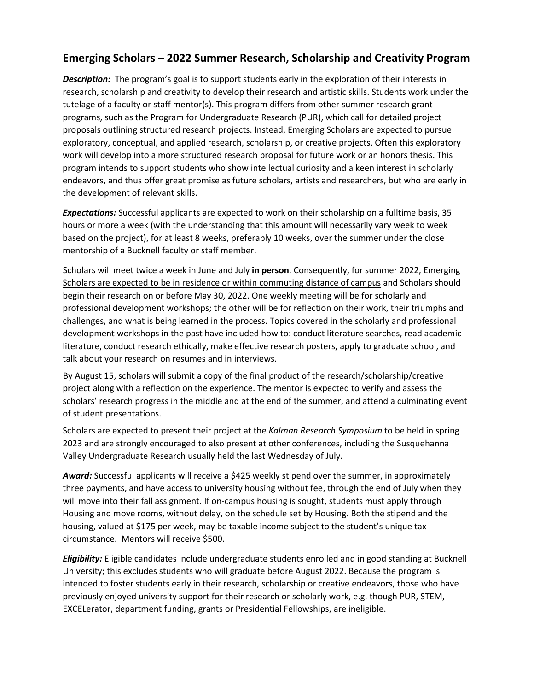## **Emerging Scholars – 2022 Summer Research, Scholarship and Creativity Program**

*Description:* The program's goal is to support students early in the exploration of their interests in research, scholarship and creativity to develop their research and artistic skills. Students work under the tutelage of a faculty or staff mentor(s). This program differs from other summer research grant programs, such as the Program for Undergraduate Research (PUR), which call for detailed project proposals outlining structured research projects. Instead, Emerging Scholars are expected to pursue exploratory, conceptual, and applied research, scholarship, or creative projects. Often this exploratory work will develop into a more structured research proposal for future work or an honors thesis. This program intends to support students who show intellectual curiosity and a keen interest in scholarly endeavors, and thus offer great promise as future scholars, artists and researchers, but who are early in the development of relevant skills.

*Expectations:* Successful applicants are expected to work on their scholarship on a fulltime basis, 35 hours or more a week (with the understanding that this amount will necessarily vary week to week based on the project), for at least 8 weeks, preferably 10 weeks, over the summer under the close mentorship of a Bucknell faculty or staff member.

Scholars will meet twice a week in June and July **in person**. Consequently, for summer 2022, Emerging Scholars are expected to be in residence or within commuting distance of campus and Scholars should begin their research on or before May 30, 2022. One weekly meeting will be for scholarly and professional development workshops; the other will be for reflection on their work, their triumphs and challenges, and what is being learned in the process. Topics covered in the scholarly and professional development workshops in the past have included how to: conduct literature searches, read academic literature, conduct research ethically, make effective research posters, apply to graduate school, and talk about your research on resumes and in interviews.

By August 15, scholars will submit a copy of the final product of the research/scholarship/creative project along with a reflection on the experience. The mentor is expected to verify and assess the scholars' research progress in the middle and at the end of the summer, and attend a culminating event of student presentations.

Scholars are expected to present their project at the *Kalman Research Symposium* to be held in spring 2023 and are strongly encouraged to also present at other conferences, including the Susquehanna Valley Undergraduate Research usually held the last Wednesday of July.

*Award:* Successful applicants will receive a \$425 weekly stipend over the summer, in approximately three payments, and have access to university housing without fee, through the end of July when they will move into their fall assignment. If on-campus housing is sought, students must apply through Housing and move rooms, without delay, on the schedule set by Housing. Both the stipend and the housing, valued at \$175 per week, may be taxable income subject to the student's unique tax circumstance. Mentors will receive \$500.

*Eligibility:* Eligible candidates include undergraduate students enrolled and in good standing at Bucknell University; this excludes students who will graduate before August 2022. Because the program is intended to foster students early in their research, scholarship or creative endeavors, those who have previously enjoyed university support for their research or scholarly work, e.g. though PUR, STEM, EXCELerator, department funding, grants or Presidential Fellowships, are ineligible.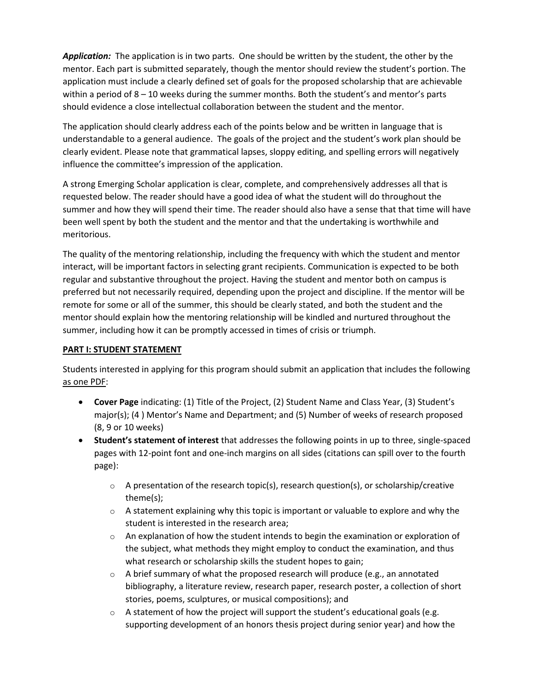*Application:* The application is in two parts. One should be written by the student, the other by the mentor. Each part is submitted separately, though the mentor should review the student's portion. The application must include a clearly defined set of goals for the proposed scholarship that are achievable within a period of 8 – 10 weeks during the summer months. Both the student's and mentor's parts should evidence a close intellectual collaboration between the student and the mentor.

The application should clearly address each of the points below and be written in language that is understandable to a general audience. The goals of the project and the student's work plan should be clearly evident. Please note that grammatical lapses, sloppy editing, and spelling errors will negatively influence the committee's impression of the application.

A strong Emerging Scholar application is clear, complete, and comprehensively addresses all that is requested below. The reader should have a good idea of what the student will do throughout the summer and how they will spend their time. The reader should also have a sense that that time will have been well spent by both the student and the mentor and that the undertaking is worthwhile and meritorious.

The quality of the mentoring relationship, including the frequency with which the student and mentor interact, will be important factors in selecting grant recipients. Communication is expected to be both regular and substantive throughout the project. Having the student and mentor both on campus is preferred but not necessarily required, depending upon the project and discipline. If the mentor will be remote for some or all of the summer, this should be clearly stated, and both the student and the mentor should explain how the mentoring relationship will be kindled and nurtured throughout the summer, including how it can be promptly accessed in times of crisis or triumph.

## **PART I: STUDENT STATEMENT**

Students interested in applying for this program should submit an application that includes the following as one PDF:

- **Cover Page** indicating: (1) Title of the Project, (2) Student Name and Class Year, (3) Student's major(s); (4 ) Mentor's Name and Department; and (5) Number of weeks of research proposed (8, 9 or 10 weeks)
- **Student's statement of interest** that addresses the following points in up to three, single-spaced pages with 12-point font and one-inch margins on all sides (citations can spill over to the fourth page):
	- $\circ$  A presentation of the research topic(s), research question(s), or scholarship/creative theme(s);
	- $\circ$  A statement explaining why this topic is important or valuable to explore and why the student is interested in the research area;
	- $\circ$  An explanation of how the student intends to begin the examination or exploration of the subject, what methods they might employ to conduct the examination, and thus what research or scholarship skills the student hopes to gain;
	- $\circ$  A brief summary of what the proposed research will produce (e.g., an annotated bibliography, a literature review, research paper, research poster, a collection of short stories, poems, sculptures, or musical compositions); and
	- $\circ$  A statement of how the project will support the student's educational goals (e.g. supporting development of an honors thesis project during senior year) and how the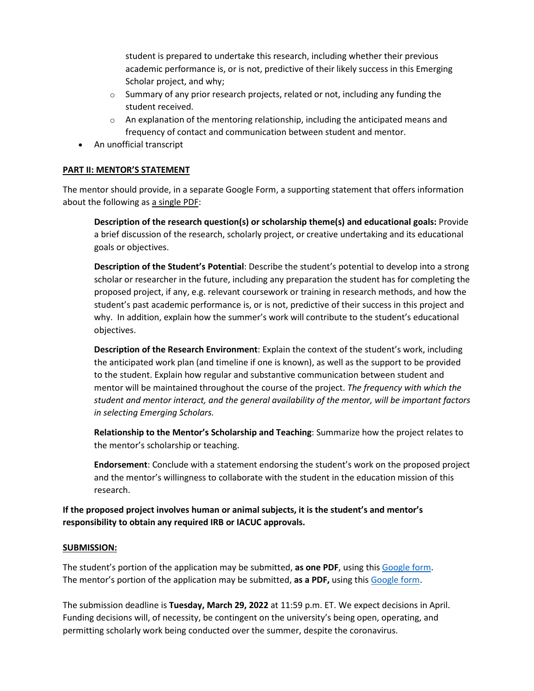student is prepared to undertake this research, including whether their previous academic performance is, or is not, predictive of their likely success in this Emerging Scholar project, and why;

- $\circ$  Summary of any prior research projects, related or not, including any funding the student received.
- $\circ$  An explanation of the mentoring relationship, including the anticipated means and frequency of contact and communication between student and mentor.
- An unofficial transcript

## **PART II: MENTOR'S STATEMENT**

The mentor should provide, in a separate Google Form, a supporting statement that offers information about the following as a single PDF:

**Description of the research question(s) or scholarship theme(s) and educational goals:** Provide a brief discussion of the research, scholarly project, or creative undertaking and its educational goals or objectives.

**Description of the Student's Potential**: Describe the student's potential to develop into a strong scholar or researcher in the future, including any preparation the student has for completing the proposed project, if any, e.g. relevant coursework or training in research methods, and how the student's past academic performance is, or is not, predictive of their success in this project and why. In addition, explain how the summer's work will contribute to the student's educational objectives.

**Description of the Research Environment**: Explain the context of the student's work, including the anticipated work plan (and timeline if one is known), as well as the support to be provided to the student. Explain how regular and substantive communication between student and mentor will be maintained throughout the course of the project. *The frequency with which the student and mentor interact, and the general availability of the mentor, will be important factors in selecting Emerging Scholars.*

**Relationship to the Mentor's Scholarship and Teaching**: Summarize how the project relates to the mentor's scholarship or teaching.

**Endorsement**: Conclude with a statement endorsing the student's work on the proposed project and the mentor's willingness to collaborate with the student in the education mission of this research.

**If the proposed project involves human or animal subjects, it is the student's and mentor's responsibility to obtain any required IRB or IACUC approvals.**

## **SUBMISSION:**

The student's portion of the application may be submitted, **as one PDF**, using this [Google form.](https://docs.google.com/forms/d/e/1FAIpQLSfE4qyt3y3vyOevYGzPxemipZn09jSsOlsjnXHd8VPEVSsgCg/viewform?usp=sf_link) The mentor's portion of the application may be submitted, **as a PDF,** using this [Google form.](https://docs.google.com/forms/d/e/1FAIpQLSeElNJPDxogq-dLNn1fn2HCXkNMmtlXqyhULvjcWwd8VA2H-w/viewform?usp=sf_link)

The submission deadline is **Tuesday, March 29, 2022** at 11:59 p.m. ET. We expect decisions in April. Funding decisions will, of necessity, be contingent on the university's being open, operating, and permitting scholarly work being conducted over the summer, despite the coronavirus.